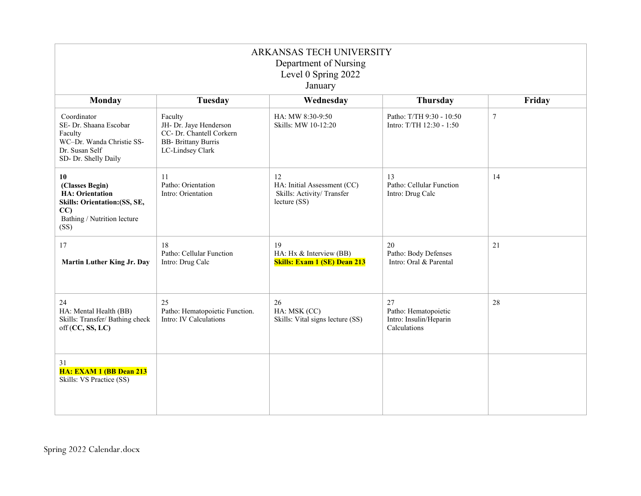| ARKANSAS TECH UNIVERSITY<br>Department of Nursing<br>Level 0 Spring 2022<br>January                                            |                                                                                                                 |                                                                                |                                                                      |                  |
|--------------------------------------------------------------------------------------------------------------------------------|-----------------------------------------------------------------------------------------------------------------|--------------------------------------------------------------------------------|----------------------------------------------------------------------|------------------|
| Monday                                                                                                                         | Tuesday                                                                                                         | Wednesday                                                                      | <b>Thursday</b>                                                      | Friday           |
| Coordinator<br>SE- Dr. Shaana Escobar<br>Faculty<br>WC-Dr. Wanda Christie SS-<br>Dr. Susan Self<br>SD- Dr. Shelly Daily        | Faculty<br>JH- Dr. Jaye Henderson<br>CC- Dr. Chantell Corkern<br><b>BB-</b> Brittany Burris<br>LC-Lindsey Clark | HA: MW 8:30-9:50<br>Skills: MW 10-12:20                                        | Patho: T/TH 9:30 - 10:50<br>Intro: T/TH 12:30 - 1:50                 | $\boldsymbol{7}$ |
| 10<br>(Classes Begin)<br><b>HA</b> : Orientation<br>Skills: Orientation: (SS, SE,<br>CC<br>Bathing / Nutrition lecture<br>(SS) | 11<br>Patho: Orientation<br>Intro: Orientation                                                                  | 12<br>HA: Initial Assessment (CC)<br>Skills: Activity/Transfer<br>lecture (SS) | 13<br>Patho: Cellular Function<br>Intro: Drug Calc                   | 14               |
| 17<br>Martin Luther King Jr. Day                                                                                               | 18<br>Patho: Cellular Function<br>Intro: Drug Calc                                                              | 19<br>HA: Hx & Interview (BB)<br><b>Skills: Exam 1 (SE) Dean 213</b>           | 20<br>Patho: Body Defenses<br>Intro: Oral & Parental                 | 21               |
| 24<br>HA: Mental Health (BB)<br>Skills: Transfer/ Bathing check<br>off (CC, SS, LC)                                            | 25<br>Patho: Hematopoietic Function.<br>Intro: IV Calculations                                                  | 26<br>HA: MSK (CC)<br>Skills: Vital signs lecture (SS)                         | 27<br>Patho: Hematopoietic<br>Intro: Insulin/Heparin<br>Calculations | 28               |
| 31<br>HA: EXAM 1 (BB Dean 213<br>Skills: VS Practice (SS)                                                                      |                                                                                                                 |                                                                                |                                                                      |                  |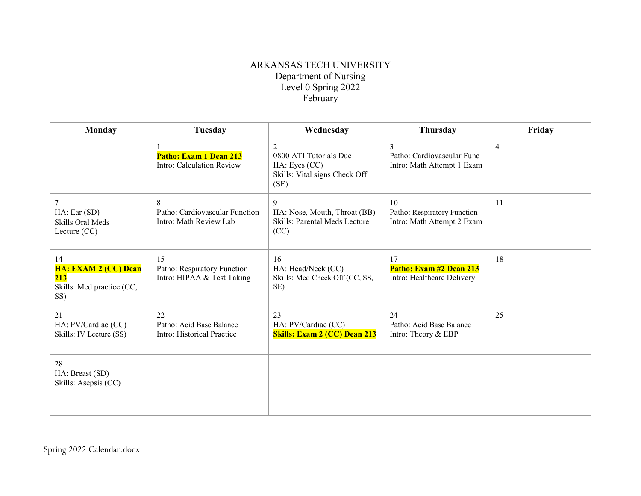| ARKANSAS TECH UNIVERSITY<br>Department of Nursing<br>Level 0 Spring 2022<br>February |                                                                     |                                                                                       |                                                                 |                |
|--------------------------------------------------------------------------------------|---------------------------------------------------------------------|---------------------------------------------------------------------------------------|-----------------------------------------------------------------|----------------|
| <b>Monday</b>                                                                        | Tuesday                                                             | Wednesday                                                                             | Thursday                                                        | Friday         |
|                                                                                      | $\mathbf{1}$<br>Patho: Exam 1 Dean 213<br>Intro: Calculation Review | 2<br>0800 ATI Tutorials Due<br>HA: Eyes (CC)<br>Skills: Vital signs Check Off<br>(SE) | 3<br>Patho: Cardiovascular Func<br>Intro: Math Attempt 1 Exam   | $\overline{4}$ |
| 7<br>HA: Ear (SD)<br>Skills Oral Meds<br>Lecture (CC)                                | 8<br>Patho: Cardiovascular Function<br>Intro: Math Review Lab       | 9<br>HA: Nose, Mouth, Throat (BB)<br>Skills: Parental Meds Lecture<br>(CC)            | 10<br>Patho: Respiratory Function<br>Intro: Math Attempt 2 Exam | 11             |
| 14<br>HA: EXAM 2 (CC) Dean<br>213<br>Skills: Med practice (CC,<br>SS)                | 15<br>Patho: Respiratory Function<br>Intro: HIPAA & Test Taking     | 16<br>HA: Head/Neck (CC)<br>Skills: Med Check Off (CC, SS,<br>SE)                     | 17<br>Patho: Exam #2 Dean 213<br>Intro: Healthcare Delivery     | 18             |
| 21<br>HA: PV/Cardiac (CC)<br>Skills: IV Lecture (SS)                                 | 22<br>Patho: Acid Base Balance<br>Intro: Historical Practice        | 23<br>HA: PV/Cardiac (CC)<br><b>Skills: Exam 2 (CC) Dean 213</b>                      | 24<br>Patho: Acid Base Balance<br>Intro: Theory & EBP           | 25             |
| 28<br>HA: Breast (SD)<br>Skills: Asepsis (CC)                                        |                                                                     |                                                                                       |                                                                 |                |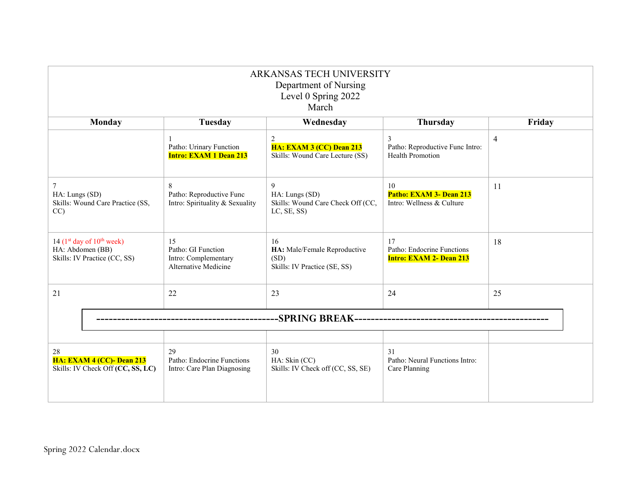| ARKANSAS TECH UNIVERSITY<br>Department of Nursing<br>Level 0 Spring 2022<br>March |                                                                          |                                                                            |                                                                    |                |  |  |
|-----------------------------------------------------------------------------------|--------------------------------------------------------------------------|----------------------------------------------------------------------------|--------------------------------------------------------------------|----------------|--|--|
| Monday                                                                            | Tuesday                                                                  | Wednesday                                                                  | Thursday                                                           | Friday         |  |  |
|                                                                                   | Patho: Urinary Function<br><b>Intro: EXAM 1 Dean 213</b>                 | 2<br><b>HA: EXAM 3 (CC) Dean 213</b><br>Skills: Wound Care Lecture (SS)    | 3<br>Patho: Reproductive Func Intro:<br>Health Promotion           | $\overline{4}$ |  |  |
| $\tau$<br>HA: Lungs (SD)<br>Skills: Wound Care Practice (SS,<br>CC                | 8<br>Patho: Reproductive Func<br>Intro: Spirituality & Sexuality         | 9<br>HA: Lungs (SD)<br>Skills: Wound Care Check Off (CC,<br>LC, SE, SS)    | 10<br>Patho: EXAM 3- Dean 213<br>Intro: Wellness & Culture         | 11             |  |  |
| 14 $(1st$ day of $10th$ week)<br>HA: Abdomen (BB)<br>Skills: IV Practice (CC, SS) | 15<br>Patho: GI Function<br>Intro: Complementary<br>Alternative Medicine | 16<br>HA: Male/Female Reproductive<br>(SD)<br>Skills: IV Practice (SE, SS) | 17<br>Patho: Endocrine Functions<br><b>Intro: EXAM 2- Dean 213</b> | 18             |  |  |
| 21                                                                                | 22                                                                       | 23                                                                         | 24                                                                 | 25             |  |  |
| -SPRING BREAK---------------------------                                          |                                                                          |                                                                            |                                                                    |                |  |  |
| 28<br><b>HA: EXAM 4 (CC)- Dean 213</b><br>Skills: IV Check Off (CC, SS, LC)       | 29<br>Patho: Endocrine Functions<br>Intro: Care Plan Diagnosing          | 30<br>HA: Skin (CC)<br>Skills: IV Check off (CC, SS, SE)                   | 31<br>Patho: Neural Functions Intro:<br>Care Planning              |                |  |  |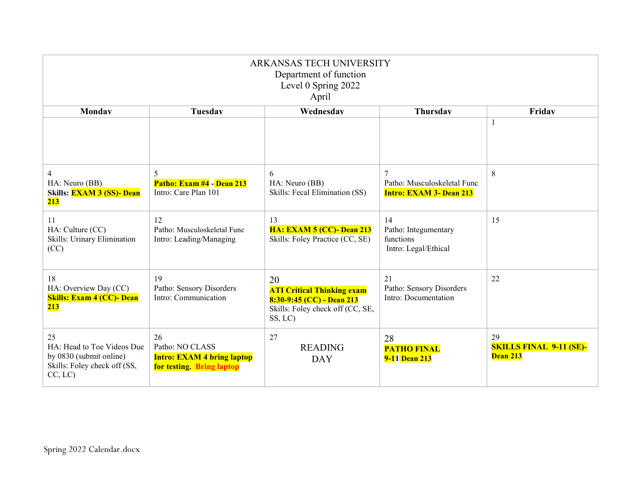| ARKANSAS TECH UNIVERSITY<br>Department of function<br>Level 0 Spring 2022<br>April                     |                                                                                         |                                                                                                                     |                                                                                 |                                                  |
|--------------------------------------------------------------------------------------------------------|-----------------------------------------------------------------------------------------|---------------------------------------------------------------------------------------------------------------------|---------------------------------------------------------------------------------|--------------------------------------------------|
| Monday                                                                                                 | Tuesday                                                                                 | Wednesdav                                                                                                           | <b>Thursday</b>                                                                 | Friday                                           |
|                                                                                                        |                                                                                         |                                                                                                                     |                                                                                 |                                                  |
| $\overline{4}$<br>HA: Neuro (BB)<br>Skills: <b>EXAM 3 (SS)- Dean</b><br>213                            | 5<br>Patho: Exam #4 - Dean 213<br>Intro: Care Plan 101                                  | 6<br>HA: Neuro (BB)<br>Skills: Fecal Elimination (SS)                                                               | $\overline{7}$<br>Patho: Musculoskeletal Func<br><b>Intro: EXAM 3- Dean 213</b> | 8                                                |
| 11<br>HA: Culture (CC)<br>Skills: Urinary Elimination<br>(CC)                                          | 12<br>Patho: Musculoskeletal Func<br>Intro: Leading/Managing                            | 13<br><b>HA: EXAM 5 (CC)- Dean 213</b><br>Skills: Foley Practice (CC, SE)                                           | 14<br>Patho: Integumentary<br>functions<br>Intro: Legal/Ethical                 | 15                                               |
| 18<br>HA: Overview Day (CC)<br><b>Skills: Exam 4 (CC)- Dean</b><br>213                                 | 19<br>Patho: Sensory Disorders<br>Intro: Communication                                  | 20<br><b>ATI Critical Thinking exam</b><br>8:30-9:45 (CC) - Dean 213<br>Skills: Foley check off (CC, SE,<br>SS, LC) | 21<br>Patho: Sensory Disorders<br>Intro: Documentation                          | 22                                               |
| 25<br>HA: Head to Toe Videos Due<br>by 0830 (submit online)<br>Skills: Foley check off (SS,<br>CC, LC) | 26<br>Patho: NO CLASS<br><b>Intro: EXAM 4 bring laptop</b><br>for testing. Bring laptop | 27<br><b>READING</b><br><b>DAY</b>                                                                                  | 28<br><b>PATHO FINAL</b><br>9-11 Dean 213                                       | 29<br><b>SKILLS FINAL 9-11 (SE)-</b><br>Dean 213 |